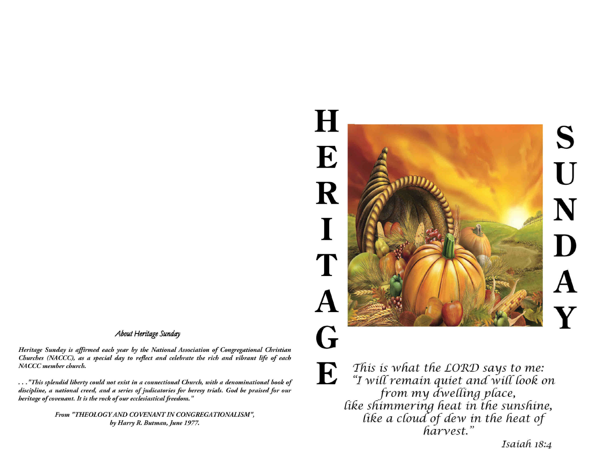## S U N D A Y



*This is what the £ORD says to me: "I wilTremain quiet ancCwiff(ook on from my £wefing ptace, like shimmering heat in the sunshine, like a cloud of dew in the heat of harvest."*

*Isaiah 18:4*

*E*

*About Heritage Sunday Heritage Sunday is affirmed each year by the National Association of Congregational Christian*

*Churches (NACCC), as a special day to reflect and celebrate the rich and vibrant life of each NA CCC member church.*

*"This splendid liberty could not exist in a connectional Church, with a denominational book of discipline, a national creed, and a series of judicatories for heresy trials. God be praised for our heritage of covenant. It is the rock of our ecclesiastical freedom. "*

> *From "THEOLOGYAND COVENANTINCONGREGATIONALISM , by Harry R. Butman, June 1977.*